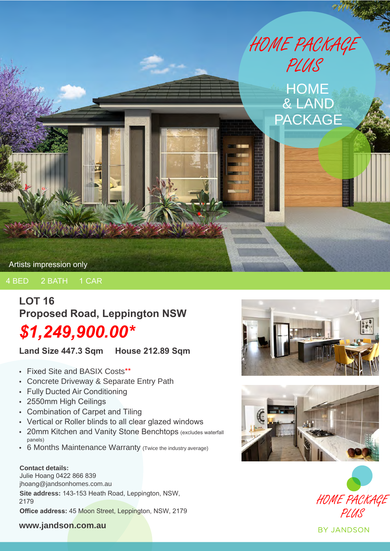

#### 4 BED 2 BATH 1 CAR

# **LOT 16 Proposed Road, Leppington NSW**

# *\$1,249,900.00\**

**Land Size 447.3 Sqm House 212.89 Sqm**

- Fixed Site and BASIX Costs\*\*
- Concrete Driveway & Separate Entry Path
- Fully Ducted Air Conditioning
- 2550mm High Ceilings
- Combination of Carpet and Tiling
- Vertical or Roller blinds to all clear glazed windows
- 20mm Kitchen and Vanity Stone Benchtops (excludes waterfall panels)
- 6 Months Maintenance Warranty (Twice the industry average)

#### **Contact details:**

Julie Hoang 0422 866 839 jhoang@jandsonhomes.com.au **Site address:** 143-153 Heath Road, Leppington, NSW, 2179 **Office address:** 45 Moon Street, Leppington, NSW, 2179







#### **www.jandson.com.au**

**BY JANDSON**